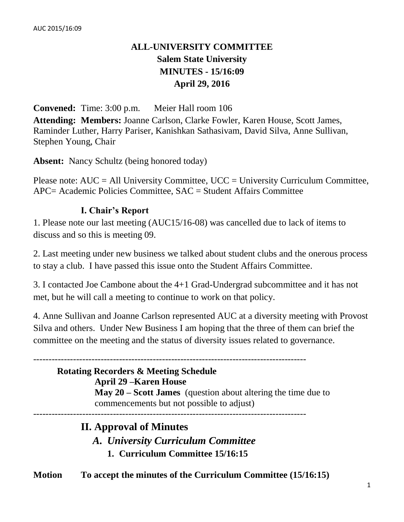# **ALL-UNIVERSITY COMMITTEE Salem State University MINUTES - 15/16:09 April 29, 2016**

**Convened:** Time: 3:00 p.m. Meier Hall room 106 **Attending: Members:** Joanne Carlson, Clarke Fowler, Karen House, Scott James, Raminder Luther, Harry Pariser, Kanishkan Sathasivam, David Silva, Anne Sullivan, Stephen Young, Chair

**Absent:** Nancy Schultz (being honored today)

Please note: AUC = All University Committee, UCC = University Curriculum Committee, APC= Academic Policies Committee, SAC = Student Affairs Committee

## **I. Chair's Report**

1. Please note our last meeting (AUC15/16-08) was cancelled due to lack of items to discuss and so this is meeting 09.

2. Last meeting under new business we talked about student clubs and the onerous process to stay a club. I have passed this issue onto the Student Affairs Committee.

3. I contacted Joe Cambone about the 4+1 Grad-Undergrad subcommittee and it has not met, but he will call a meeting to continue to work on that policy.

4. Anne Sullivan and Joanne Carlson represented AUC at a diversity meeting with Provost Silva and others. Under New Business I am hoping that the three of them can brief the committee on the meeting and the status of diversity issues related to governance.

### -----------------------------------------------------------------------------------------

## **Rotating Recorders & Meeting Schedule**

### **April 29 –Karen House**

**May 20 – Scott James** (question about altering the time due to commencements but not possible to adjust)

-----------------------------------------------------------------------------------------

## **II. Approval of Minutes**

*A. University Curriculum Committee*

**1. Curriculum Committee 15/16:15**

**Motion To accept the minutes of the Curriculum Committee (15/16:15)**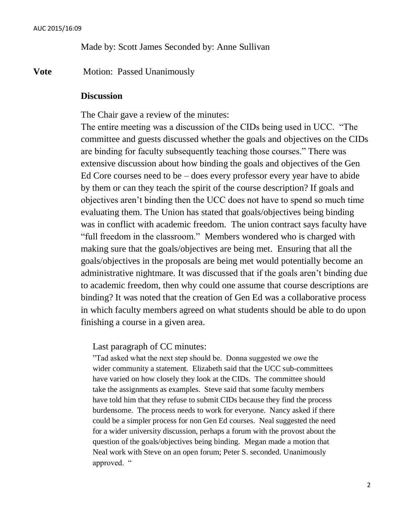Made by: Scott James Seconded by: Anne Sullivan

**Vote** Motion: Passed Unanimously

#### **Discussion**

The Chair gave a review of the minutes:

The entire meeting was a discussion of the CIDs being used in UCC. "The committee and guests discussed whether the goals and objectives on the CIDs are binding for faculty subsequently teaching those courses." There was extensive discussion about how binding the goals and objectives of the Gen Ed Core courses need to be  $-$  does every professor every year have to abide by them or can they teach the spirit of the course description? If goals and objectives aren't binding then the UCC does not have to spend so much time evaluating them. The Union has stated that goals/objectives being binding was in conflict with academic freedom. The union contract says faculty have "full freedom in the classroom." Members wondered who is charged with making sure that the goals/objectives are being met. Ensuring that all the goals/objectives in the proposals are being met would potentially become an administrative nightmare. It was discussed that if the goals aren't binding due to academic freedom, then why could one assume that course descriptions are binding? It was noted that the creation of Gen Ed was a collaborative process in which faculty members agreed on what students should be able to do upon finishing a course in a given area.

Last paragraph of CC minutes:

"Tad asked what the next step should be. Donna suggested we owe the wider community a statement. Elizabeth said that the UCC sub-committees have varied on how closely they look at the CIDs. The committee should take the assignments as examples. Steve said that some faculty members have told him that they refuse to submit CIDs because they find the process burdensome. The process needs to work for everyone. Nancy asked if there could be a simpler process for non Gen Ed courses. Neal suggested the need for a wider university discussion, perhaps a forum with the provost about the question of the goals/objectives being binding. Megan made a motion that Neal work with Steve on an open forum; Peter S. seconded. Unanimously approved. "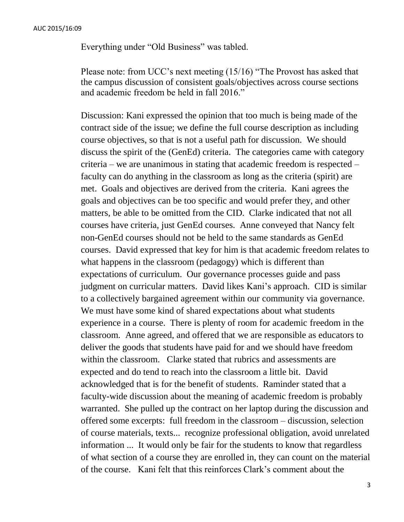Everything under "Old Business" was tabled.

Please note: from UCC's next meeting (15/16) "The Provost has asked that the campus discussion of consistent goals/objectives across course sections and academic freedom be held in fall 2016."

Discussion: Kani expressed the opinion that too much is being made of the contract side of the issue; we define the full course description as including course objectives, so that is not a useful path for discussion. We should discuss the spirit of the (GenEd) criteria. The categories came with category criteria – we are unanimous in stating that academic freedom is respected – faculty can do anything in the classroom as long as the criteria (spirit) are met. Goals and objectives are derived from the criteria. Kani agrees the goals and objectives can be too specific and would prefer they, and other matters, be able to be omitted from the CID. Clarke indicated that not all courses have criteria, just GenEd courses. Anne conveyed that Nancy felt non-GenEd courses should not be held to the same standards as GenEd courses. David expressed that key for him is that academic freedom relates to what happens in the classroom (pedagogy) which is different than expectations of curriculum. Our governance processes guide and pass judgment on curricular matters. David likes Kani's approach. CID is similar to a collectively bargained agreement within our community via governance. We must have some kind of shared expectations about what students experience in a course. There is plenty of room for academic freedom in the classroom. Anne agreed, and offered that we are responsible as educators to deliver the goods that students have paid for and we should have freedom within the classroom. Clarke stated that rubrics and assessments are expected and do tend to reach into the classroom a little bit. David acknowledged that is for the benefit of students. Raminder stated that a faculty-wide discussion about the meaning of academic freedom is probably warranted. She pulled up the contract on her laptop during the discussion and offered some excerpts: full freedom in the classroom – discussion, selection of course materials, texts... recognize professional obligation, avoid unrelated information ... It would only be fair for the students to know that regardless of what section of a course they are enrolled in, they can count on the material of the course. Kani felt that this reinforces Clark's comment about the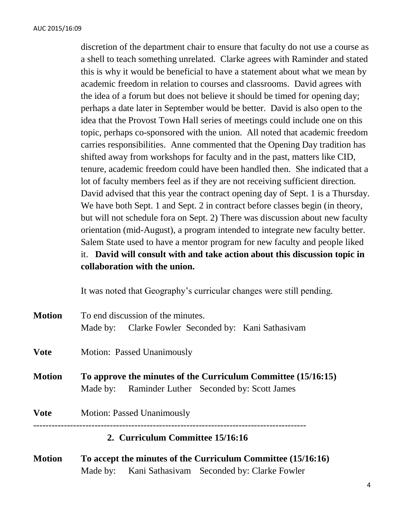discretion of the department chair to ensure that faculty do not use a course as a shell to teach something unrelated. Clarke agrees with Raminder and stated this is why it would be beneficial to have a statement about what we mean by academic freedom in relation to courses and classrooms. David agrees with the idea of a forum but does not believe it should be timed for opening day; perhaps a date later in September would be better. David is also open to the idea that the Provost Town Hall series of meetings could include one on this topic, perhaps co-sponsored with the union. All noted that academic freedom carries responsibilities. Anne commented that the Opening Day tradition has shifted away from workshops for faculty and in the past, matters like CID, tenure, academic freedom could have been handled then. She indicated that a lot of faculty members feel as if they are not receiving sufficient direction. David advised that this year the contract opening day of Sept. 1 is a Thursday. We have both Sept. 1 and Sept. 2 in contract before classes begin (in theory, but will not schedule fora on Sept. 2) There was discussion about new faculty orientation (mid-August), a program intended to integrate new faculty better. Salem State used to have a mentor program for new faculty and people liked it. **David will consult with and take action about this discussion topic in collaboration with the union.**

It was noted that Geography's curricular changes were still pending.

| <b>Motion</b> | To end discussion of the minutes.                                                                                  |  |  |  |  |
|---------------|--------------------------------------------------------------------------------------------------------------------|--|--|--|--|
|               | Made by: Clarke Fowler Seconded by: Kani Sathasivam                                                                |  |  |  |  |
| <b>Vote</b>   | Motion: Passed Unanimously                                                                                         |  |  |  |  |
| <b>Motion</b> | To approve the minutes of the Curriculum Committee (15/16:15)<br>Made by: Raminder Luther Seconded by: Scott James |  |  |  |  |
| <b>Vote</b>   | <b>Motion: Passed Unanimously</b>                                                                                  |  |  |  |  |
|               | 2. Curriculum Committee 15/16:16                                                                                   |  |  |  |  |
|               |                                                                                                                    |  |  |  |  |

**Motion To accept the minutes of the Curriculum Committee (15/16:16)** Made by: Kani Sathasivam Seconded by: Clarke Fowler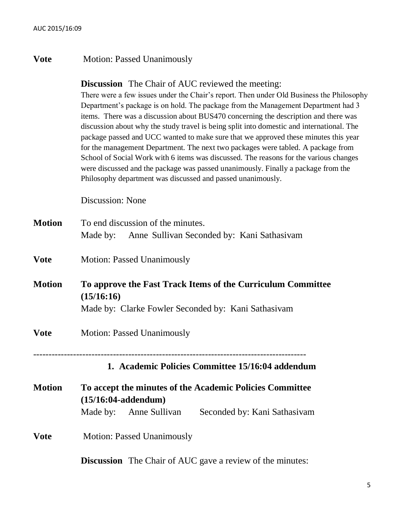### **Vote** Motion: Passed Unanimously

### **Discussion** The Chair of AUC reviewed the meeting:

There were a few issues under the Chair's report. Then under Old Business the Philosophy Department's package is on hold. The package from the Management Department had 3 items. There was a discussion about BUS470 concerning the description and there was discussion about why the study travel is being split into domestic and international. The package passed and UCC wanted to make sure that we approved these minutes this year for the management Department. The next two packages were tabled. A package from School of Social Work with 6 items was discussed. The reasons for the various changes were discussed and the package was passed unanimously. Finally a package from the Philosophy department was discussed and passed unanimously.

Discussion: None

| <b>Motion</b>                                                                                                                                     | To end discussion of the minutes.<br>Made by: Anne Sullivan Seconded by: Kani Sathasivam                                                     |  |  |  |  |
|---------------------------------------------------------------------------------------------------------------------------------------------------|----------------------------------------------------------------------------------------------------------------------------------------------|--|--|--|--|
| <b>Vote</b>                                                                                                                                       | <b>Motion: Passed Unanimously</b>                                                                                                            |  |  |  |  |
| <b>Motion</b><br>To approve the Fast Track Items of the Curriculum Committee<br>(15/16:16)<br>Made by: Clarke Fowler Seconded by: Kani Sathasivam |                                                                                                                                              |  |  |  |  |
| <b>Vote</b>                                                                                                                                       | <b>Motion: Passed Unanimously</b>                                                                                                            |  |  |  |  |
|                                                                                                                                                   | 1. Academic Policies Committee 15/16:04 addendum                                                                                             |  |  |  |  |
| <b>Motion</b>                                                                                                                                     | To accept the minutes of the Academic Policies Committee<br>$(15/16:04$ -addendum $)$<br>Made by: Anne Sullivan Seconded by: Kani Sathasivam |  |  |  |  |
| <b>Vote</b>                                                                                                                                       | <b>Motion: Passed Unanimously</b>                                                                                                            |  |  |  |  |
|                                                                                                                                                   | <b>Discussion</b> The Chair of AUC gave a review of the minutes:                                                                             |  |  |  |  |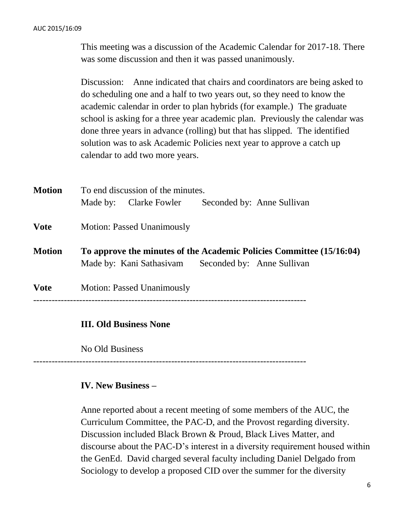This meeting was a discussion of the Academic Calendar for 2017-18. There was some discussion and then it was passed unanimously.

Discussion: Anne indicated that chairs and coordinators are being asked to do scheduling one and a half to two years out, so they need to know the academic calendar in order to plan hybrids (for example.) The graduate school is asking for a three year academic plan. Previously the calendar was done three years in advance (rolling) but that has slipped. The identified solution was to ask Academic Policies next year to approve a catch up calendar to add two more years.

| <b>Motion</b> | To end discussion of the minutes.                                                                                           |                               |  |                            |  |  |
|---------------|-----------------------------------------------------------------------------------------------------------------------------|-------------------------------|--|----------------------------|--|--|
|               |                                                                                                                             | Made by: Clarke Fowler        |  | Seconded by: Anne Sullivan |  |  |
| <b>Vote</b>   | <b>Motion: Passed Unanimously</b>                                                                                           |                               |  |                            |  |  |
| <b>Motion</b> | To approve the minutes of the Academic Policies Committee (15/16:04)<br>Made by: Kani Sathasivam Seconded by: Anne Sullivan |                               |  |                            |  |  |
| <b>Vote</b>   | <b>Motion: Passed Unanimously</b>                                                                                           |                               |  |                            |  |  |
|               |                                                                                                                             | <b>III. Old Business None</b> |  |                            |  |  |
|               | No Old Business                                                                                                             |                               |  |                            |  |  |

-----------------------------------------------------------------------------------------

### **IV. New Business –**

Anne reported about a recent meeting of some members of the AUC, the Curriculum Committee, the PAC-D, and the Provost regarding diversity. Discussion included Black Brown & Proud, Black Lives Matter, and discourse about the PAC-D's interest in a diversity requirement housed within the GenEd. David charged several faculty including Daniel Delgado from Sociology to develop a proposed CID over the summer for the diversity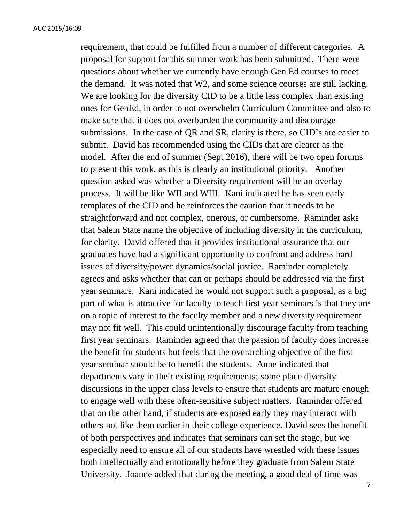requirement, that could be fulfilled from a number of different categories. A proposal for support for this summer work has been submitted. There were questions about whether we currently have enough Gen Ed courses to meet the demand. It was noted that W2, and some science courses are still lacking. We are looking for the diversity CID to be a little less complex than existing ones for GenEd, in order to not overwhelm Curriculum Committee and also to make sure that it does not overburden the community and discourage submissions. In the case of QR and SR, clarity is there, so CID's are easier to submit. David has recommended using the CIDs that are clearer as the model. After the end of summer (Sept 2016), there will be two open forums to present this work, as this is clearly an institutional priority. Another question asked was whether a Diversity requirement will be an overlay process. It will be like WII and WIII. Kani indicated he has seen early templates of the CID and he reinforces the caution that it needs to be straightforward and not complex, onerous, or cumbersome. Raminder asks that Salem State name the objective of including diversity in the curriculum, for clarity. David offered that it provides institutional assurance that our graduates have had a significant opportunity to confront and address hard issues of diversity/power dynamics/social justice. Raminder completely agrees and asks whether that can or perhaps should be addressed via the first year seminars. Kani indicated he would not support such a proposal, as a big part of what is attractive for faculty to teach first year seminars is that they are on a topic of interest to the faculty member and a new diversity requirement may not fit well. This could unintentionally discourage faculty from teaching first year seminars. Raminder agreed that the passion of faculty does increase the benefit for students but feels that the overarching objective of the first year seminar should be to benefit the students. Anne indicated that departments vary in their existing requirements; some place diversity discussions in the upper class levels to ensure that students are mature enough to engage well with these often-sensitive subject matters. Raminder offered that on the other hand, if students are exposed early they may interact with others not like them earlier in their college experience. David sees the benefit of both perspectives and indicates that seminars can set the stage, but we especially need to ensure all of our students have wrestled with these issues both intellectually and emotionally before they graduate from Salem State University. Joanne added that during the meeting, a good deal of time was